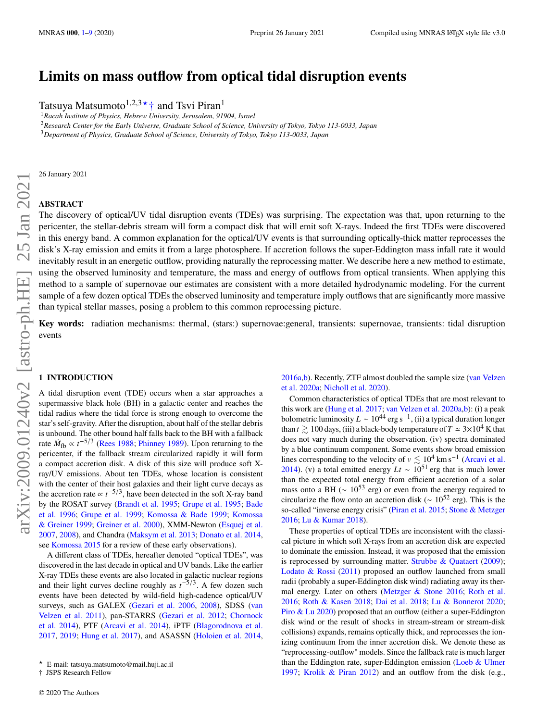# **Limits on mass outflow from optical tidal disruption events**

Tatsuya Matsumoto<sup>1,2,3★</sup>† and Tsvi Piran<sup>1</sup>

<sup>1</sup>*Racah Institute of Physics, Hebrew University, Jerusalem, 91904, Israel*

<sup>2</sup>*Research Center for the Early Universe, Graduate School of Science, University of Tokyo, Tokyo 113-0033, Japan*

<sup>3</sup>*Department of Physics, Graduate School of Science, University of Tokyo, Tokyo 113-0033, Japan*

26 January 2021

## **ABSTRACT**

The discovery of optical/UV tidal disruption events (TDEs) was surprising. The expectation was that, upon returning to the pericenter, the stellar-debris stream will form a compact disk that will emit soft X-rays. Indeed the first TDEs were discovered in this energy band. A common explanation for the optical/UV events is that surrounding optically-thick matter reprocesses the disk's X-ray emission and emits it from a large photosphere. If accretion follows the super-Eddington mass infall rate it would inevitably result in an energetic outflow, providing naturally the reprocessing matter. We describe here a new method to estimate, using the observed luminosity and temperature, the mass and energy of outflows from optical transients. When applying this method to a sample of supernovae our estimates are consistent with a more detailed hydrodynamic modeling. For the current sample of a few dozen optical TDEs the observed luminosity and temperature imply outflows that are significantly more massive than typical stellar masses, posing a problem to this common reprocessing picture.

**Key words:** radiation mechanisms: thermal, (stars:) supernovae:general, transients: supernovae, transients: tidal disruption events

#### <span id="page-0-0"></span>**1 INTRODUCTION**

A tidal disruption event (TDE) occurs when a star approaches a supermassive black hole (BH) in a galactic center and reaches the tidal radius where the tidal force is strong enough to overcome the star's self-gravity. After the disruption, about half of the stellar debris is unbound. The other bound half falls back to the BH with a fallback rate  $\dot{M}_{\text{fb}} \propto t^{-5/3}$  [\(Rees](#page-8-1) [1988;](#page-8-1) [Phinney](#page-8-2) [1989\)](#page-8-2). Upon returning to the pericenter, if the fallback stream circularized rapidly it will form a compact accretion disk. A disk of this size will produce soft Xray/UV emissions. About ten TDEs, whose location is consistent with the center of their host galaxies and their light curve decays as the accretion rate  $\propto t^{-5/3}$ , have been detected in the soft X-ray band by the ROSAT survey [\(Brandt et al.](#page-8-3) [1995;](#page-8-3) [Grupe et al.](#page-8-4) [1995;](#page-8-4) [Bade](#page-8-5) [et al.](#page-8-5) [1996;](#page-8-5) [Grupe et al.](#page-8-6) [1999;](#page-8-6) [Komossa & Bade](#page-8-7) [1999;](#page-8-7) [Komossa](#page-8-8) [& Greiner](#page-8-8) [1999;](#page-8-8) [Greiner et al.](#page-8-9) [2000\)](#page-8-9), XMM-Newton [\(Esquej et al.](#page-8-10) [2007,](#page-8-10) [2008\)](#page-8-11), and Chandra [\(Maksym et al.](#page-8-12) [2013;](#page-8-12) [Donato et al.](#page-8-13) [2014,](#page-8-13) see [Komossa](#page-8-14) [2015](#page-8-14) for a review of these early observations).

A different class of TDEs, hereafter denoted "optical TDEs", was discovered in the last decade in optical and UV bands. Like the earlier X-ray TDEs these events are also located in galactic nuclear regions and their light curves decline roughly as  $t^{-\frac{5}{3}}$ . A few dozen such events have been detected by wild-field high-cadence optical/UV surveys, such as GALEX [\(Gezari et al.](#page-8-15) [2006,](#page-8-15) [2008\)](#page-8-16), SDSS [\(van](#page-8-17) [Velzen et al.](#page-8-17) [2011\)](#page-8-17), pan-STARRS [\(Gezari et al.](#page-8-18) [2012;](#page-8-18) [Chornock](#page-8-19) [et al.](#page-8-19) [2014\)](#page-8-19), PTF [\(Arcavi et al.](#page-7-0) [2014\)](#page-7-0), iPTF [\(Blagorodnova et al.](#page-8-20) [2017,](#page-8-20) [2019;](#page-8-21) [Hung et al.](#page-8-22) [2017\)](#page-8-22), and ASASSN [\(Holoien et al.](#page-8-23) [2014,](#page-8-23)

[2016a](#page-8-24)[,b\)](#page-8-25). Recently, ZTF almost doubled the sample size [\(van Velzen](#page-8-26) [et al.](#page-8-26) [2020a;](#page-8-26) [Nicholl et al.](#page-8-27) [2020\)](#page-8-27).

Common characteristics of optical TDEs that are most relevant to this work are [\(Hung et al.](#page-8-22) [2017;](#page-8-22) [van Velzen et al.](#page-8-26) [2020a](#page-8-26)[,b\)](#page-8-28): (i) a peak bolometric luminosity  $L \sim 10^{44}$  erg s<sup>-1</sup>, (ii) a typical duration longer than  $t \ge 100$  days, (iii) a black-body temperature of  $T \approx 3 \times 10^4$  K that does not vary much during the observation. (iv) spectra dominated by a blue continuum component. Some events show broad emission lines corresponding to the velocity of  $v \lesssim 10^4$  km s<sup>-1</sup> [\(Arcavi et al.](#page-7-0) [2014\)](#page-7-0). (v) a total emitted energy  $Lt \sim 10^{51}$  erg that is much lower than the expected total energy from efficient accretion of a solar mass onto a BH ( $\sim 10^{53}$  erg) or even from the energy required to circularize the flow onto an accretion disk ( $\sim 10^{52}$  erg). This is the so-called "inverse energy crisis" [\(Piran et al.](#page-8-29) [2015;](#page-8-29) [Stone & Metzger](#page-8-30) [2016;](#page-8-30) [Lu & Kumar](#page-8-31) [2018\)](#page-8-31).

These properties of optical TDEs are inconsistent with the classical picture in which soft X-rays from an accretion disk are expected to dominate the emission. Instead, it was proposed that the emission is reprocessed by surrounding matter. [Strubbe & Quataert](#page-8-32) [\(2009\)](#page-8-32); [Lodato & Rossi](#page-8-33) [\(2011\)](#page-8-33) proposed an outflow launched from small radii (probably a super-Eddington disk wind) radiating away its thermal energy. Later on others [\(Metzger & Stone](#page-8-34) [2016;](#page-8-34) [Roth et al.](#page-8-35) [2016;](#page-8-35) [Roth & Kasen](#page-8-36) [2018;](#page-8-36) [Dai et al.](#page-8-37) [2018;](#page-8-37) [Lu & Bonnerot](#page-8-38) [2020;](#page-8-38) [Piro & Lu](#page-8-39) [2020\)](#page-8-39) proposed that an outflow (either a super-Eddington disk wind or the result of shocks in stream-stream or stream-disk collisions) expands, remains optically thick, and reprocesses the ionizing continuum from the inner accretion disk. We denote these as "reprocessing-outflow" models. Since the fallback rate is much larger than the Eddington rate, super-Eddington emission [\(Loeb & Ulmer](#page-8-40) [1997;](#page-8-40) [Krolik & Piran](#page-8-41) [2012\)](#page-8-41) and an outflow from the disk (e.g.,

<sup>★</sup> E-mail: tatsuya.matsumoto@mail.huji.ac.il

<sup>†</sup> JSPS Research Fellow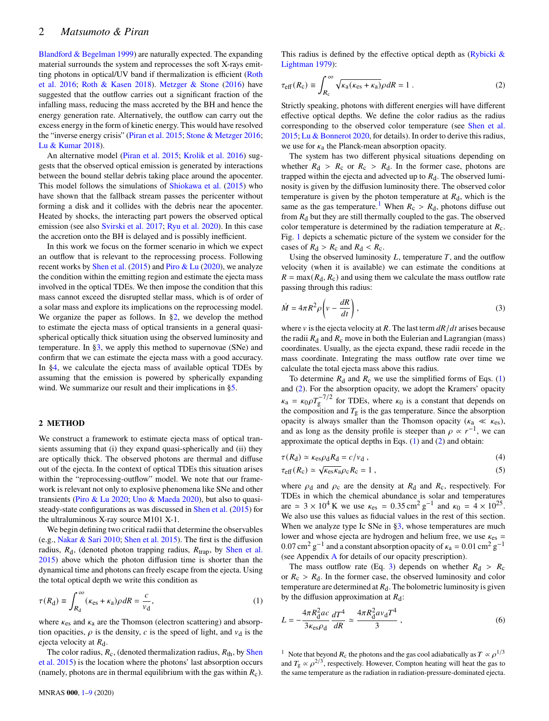[Blandford & Begelman](#page-8-42) [1999\)](#page-8-42) are naturally expected. The expanding material surrounds the system and reprocesses the soft X-rays emitting photons in optical/UV band if thermalization is efficient [\(Roth](#page-8-35) [et al.](#page-8-35) [2016;](#page-8-35) [Roth & Kasen](#page-8-36) [2018\)](#page-8-36). [Metzger & Stone](#page-8-34) [\(2016\)](#page-8-34) have suggested that the outflow carries out a significant fraction of the infalling mass, reducing the mass accreted by the BH and hence the energy generation rate. Alternatively, the outflow can carry out the excess energy in the form of kinetic energy. This would have resolved the "inverse energy crisis" [\(Piran et al.](#page-8-29) [2015;](#page-8-29) [Stone & Metzger](#page-8-30) [2016;](#page-8-30) [Lu & Kumar](#page-8-31) [2018\)](#page-8-31).

An alternative model [\(Piran et al.](#page-8-29) [2015;](#page-8-29) [Krolik et al.](#page-8-43) [2016\)](#page-8-43) suggests that the observed optical emission is generated by interactions between the bound stellar debris taking place around the apocenter. This model follows the simulations of [Shiokawa et al.](#page-8-44) [\(2015\)](#page-8-44) who have shown that the fallback stream passes the pericenter without forming a disk and it collides with the debris near the apocenter. Heated by shocks, the interacting part powers the observed optical emission (see also [Svirski et al.](#page-8-45) [2017;](#page-8-45) [Ryu et al.](#page-8-46) [2020\)](#page-8-46). In this case the accretion onto the BH is delayed and is possibly inefficient.

In this work we focus on the former scenario in which we expect an outflow that is relevant to the reprocessing process. Following recent works by [Shen et al.](#page-8-47) [\(2015\)](#page-8-47) and [Piro & Lu](#page-8-39) [\(2020\)](#page-8-39), we analyze the condition within the emitting region and estimate the ejecta mass involved in the optical TDEs. We then impose the condition that this mass cannot exceed the disrupted stellar mass, which is of order of a solar mass and explore its implications on the reprocessing model. We organize the paper as follows. In [§2,](#page-1-0) we develop the method to estimate the ejecta mass of optical transients in a general quasispherical optically thick situation using the observed luminosity and temperature. In [§3,](#page-3-0) we apply this method to supernovae (SNe) and confirm that we can estimate the ejecta mass with a good accuracy. In [§4,](#page-4-0) we calculate the ejecta mass of available optical TDEs by assuming that the emission is powered by spherically expanding wind. We summarize our result and their implications in [§5.](#page-5-0)

#### <span id="page-1-0"></span>**2 METHOD**

We construct a framework to estimate ejecta mass of optical transients assuming that (i) they expand quasi-spherically and (ii) they are optically thick. The observed photons are thermal and diffuse out of the ejecta. In the context of optical TDEs this situation arises within the "reprocessing-outflow" model. We note that our framework is relevant not only to explosive phenomena like SNe and other transients [\(Piro & Lu](#page-8-39) [2020;](#page-8-39) [Uno & Maeda](#page-8-48) [2020\)](#page-8-48), but also to quasisteady-state configurations as was discussed in [Shen et al.](#page-8-47) [\(2015\)](#page-8-47) for the ultraluminous X-ray source M101 X-1.

We begin defining two critical radii that determine the observables (e.g., [Nakar & Sari](#page-8-49) [2010;](#page-8-49) [Shen et al.](#page-8-47) [2015\)](#page-8-47). The first is the diffusion radius,  $R_d$ , (denoted photon trapping radius,  $R_{trap}$ , by [Shen et al.](#page-8-47) [2015\)](#page-8-47) above which the photon diffusion time is shorter than the dynamical time and photons can freely escape from the ejecta. Using the total optical depth we write this condition as

$$
\tau(R_{\rm d}) \equiv \int_{R_{\rm d}}^{\infty} (\kappa_{\rm es} + \kappa_{\rm a}) \rho dR = \frac{c}{v_{\rm d}},\tag{1}
$$

where  $\kappa_{es}$  and  $\kappa_a$  are the Thomson (electron scattering) and absorption opacities,  $\rho$  is the density,  $c$  is the speed of light, and  $v_d$  is the ejecta velocity at  $R_d$ .

The color radius,  $R_c$ , (denoted thermalization radius,  $R_{th}$ , by [Shen](#page-8-47) [et al.](#page-8-47) [2015\)](#page-8-47) is the location where the photons' last absorption occurs (namely, photons are in thermal equilibrium with the gas within  $R_c$ ).

This radius is defined by the effective optical depth as  $(Rybick)$  & [Lightman](#page-8-50) [1979\)](#page-8-50):

<span id="page-1-3"></span>
$$
\tau_{\text{eff}}(R_{\text{c}}) \equiv \int_{R_{\text{c}}}^{\infty} \sqrt{\kappa_{\text{a}}(\kappa_{\text{es}} + \kappa_{\text{a}})} \rho dR = 1 \tag{2}
$$

Strictly speaking, photons with different energies will have different effective optical depths. We define the color radius as the radius corresponding to the observed color temperature (see [Shen et al.](#page-8-47) [2015;](#page-8-47) [Lu & Bonnerot](#page-8-38) [2020,](#page-8-38) for details). In order to derive this radius, we use for  $\kappa_a$  the Planck-mean absorption opacity.

The system has two different physical situations depending on whether  $R_d > R_c$  or  $R_c > R_d$ . In the former case, photons are trapped within the ejecta and advected up to  $R_d$ . The observed luminosity is given by the diffusion luminosity there. The observed color temperature is given by the photon temperature at  $R_d$ , which is the same as the gas temperature.<sup>[1](#page-1-1)</sup> When  $R_c > R_d$ , photons diffuse out from  $R_d$  but they are still thermally coupled to the gas. The observed color temperature is determined by the radiation temperature at  $R_c$ . Fig. [1](#page-2-0) depicts a schematic picture of the system we consider for the cases of  $R_d > R_c$  and  $R_d < R_c$ .

Using the observed luminosity  $L$ , temperature  $T$ , and the outflow velocity (when it is available) we can estimate the conditions at  $R = \max(R_d, R_c)$  and using them we calculate the mass outflow rate passing through this radius:

<span id="page-1-4"></span>
$$
\dot{M} = 4\pi R^2 \rho \left( v - \frac{dR}{dt} \right),\tag{3}
$$

where  $\nu$  is the ejecta velocity at R. The last term  $dR/dt$  arises because the radii  $R_d$  and  $R_c$  move in both the Eulerian and Lagrangian (mass) coordinates. Usually, as the ejecta expand, these radii recede in the mass coordinate. Integrating the mass outflow rate over time we calculate the total ejecta mass above this radius.

To determine  $R_d$  and  $R_c$  we use the simplified forms of Eqs. [\(1\)](#page-1-2) and [\(2\)](#page-1-3). For the absorption opacity, we adopt the Kramers' opacity  $\kappa_{\rm a} = \kappa_0 \rho T_{\rm g}^{-7/2}$  for TDEs, where  $\kappa_0$  is a constant that depends on the composition and  $T<sub>g</sub>$  is the gas temperature. Since the absorption opacity is always smaller than the Thomson opacity ( $\kappa_a \ll \kappa_{\rm es}$ ), and as long as the density profile is steeper than  $\rho \propto r^{-1}$ , we can approximate the optical depths in Eqs.  $(1)$  and  $(2)$  and obtain:

<span id="page-1-6"></span><span id="page-1-5"></span>
$$
\tau(R_{\rm d}) \simeq \kappa_{\rm es} \rho_{\rm d} R_{\rm d} = c/v_{\rm d} \,, \tag{4}
$$

$$
\tau_{\text{eff}}(R_{\text{c}}) \simeq \sqrt{\kappa_{\text{es}} \kappa_{\text{a}} \rho_{\text{c}}} R_{\text{c}} = 1 \,, \tag{5}
$$

where  $\rho_d$  and  $\rho_c$  are the density at  $R_d$  and  $R_c$ , respectively. For TDEs in which the chemical abundance is solar and temperatures are  $\approx 3 \times 10^4$  K we use  $\kappa_{\text{es}} = 0.35 \text{ cm}^2 \text{ g}^{-1}$  and  $\kappa_0 = 4 \times 10^{25}$ . We also use this values as fiducial values in the rest of this section. When we analyze type Ic SNe in [§3,](#page-3-0) whose temperatures are much lower and whose ejecta are hydrogen and helium free, we use  $\kappa_{\text{es}} =$ 0.07 cm<sup>2</sup> g<sup>-1</sup> and a constant absorption opacity of  $\kappa_a = 0.01$  cm<sup>2</sup> g<sup>-1</sup> (see Appendix [A](#page-7-1) for details of our opacity prescription).

The mass outflow rate (Eq. [3\)](#page-1-4) depends on whether  $R_d > R_c$ or  $R_c > R_d$ . In the former case, the observed luminosity and color temperature are determined at  $R_d$ . The bolometric luminosity is given by the diffusion approximation at  $R_d$ :

<span id="page-1-2"></span>
$$
L = -\frac{4\pi R_d^2 ac}{3\kappa_{\rm cs}\rho_{\rm d}}\frac{dT^4}{dR} \simeq \frac{4\pi R_d^2 a v_{\rm d} T^4}{3} \,,\tag{6}
$$

<span id="page-1-1"></span><sup>1</sup> Note that beyond  $R_c$  the photons and the gas cool adiabatically as  $T \propto \rho^{1/3}$ and  $T_g \propto \rho^{2/3}$ , respectively. However, Compton heating will heat the gas to the same temperature as the radiation in radiation-pressure-dominated ejecta.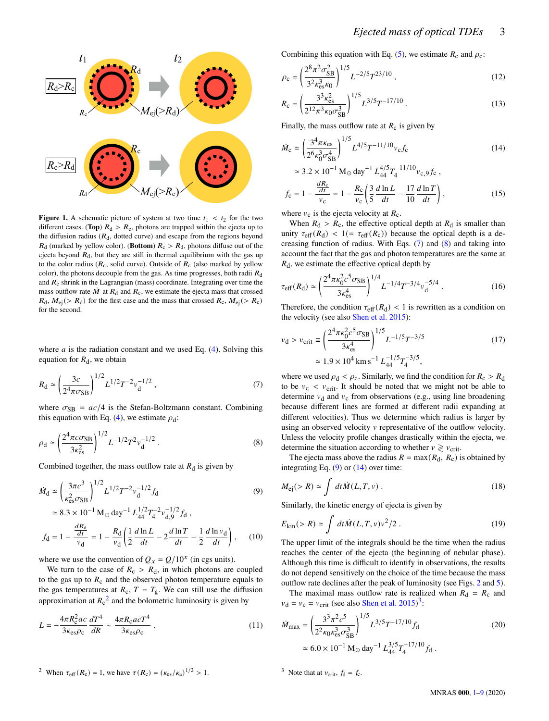

**Figure 1.** A schematic picture of system at two time  $t_1 < t_2$  for the two different cases. (**Top**)  $R_d > R_c$ , photons are trapped within the ejecta up to the diffusion radius  $(R_d,$  dotted curve) and escape from the regions beyond  $R_d$  (marked by yellow color). (**Bottom**)  $R_c > R_d$ , photons diffuse out of the ejecta beyond  $R_d$ , but they are still in thermal equilibrium with the gas up to the color radius ( $R_c$ , solid curve). Outside of  $R_c$  (also marked by yellow color), the photons decouple from the gas. As time progresses, both radii  $R_d$ and  $R_c$  shrink in the Lagrangian (mass) coordinate. Integrating over time the mass outflow rate  $\dot{M}$  at  $R_d$  and  $R_c$ , we estimate the ejecta mass that crossed  $R_d$ ,  $M_{ej}$  (>  $R_d$ ) for the first case and the mass that crossed  $R_c$ ,  $M_{ej}$  (>  $R_c$ ) for the second.

where  $a$  is the radiation constant and we used Eq. [\(4\)](#page-1-5). Solving this equation for  $R_d$ , we obtain

$$
R_{\rm d} \simeq \left(\frac{3c}{2^4 \pi \sigma_{\rm SB}}\right)^{1/2} L^{1/2} T^{-2} v_{\rm d}^{-1/2} \,,\tag{7}
$$

where  $\sigma_{SB} = ac/4$  is the Stefan-Boltzmann constant. Combining this equation with Eq. [\(4\)](#page-1-5), we estimate  $\rho_d$ :

$$
\rho_{\rm d} \simeq \left(\frac{2^4 \pi c \sigma_{\rm SB}}{3 \kappa_{\rm es}^2}\right)^{1/2} L^{-1/2} T^2 v_{\rm d}^{-1/2} . \tag{8}
$$

Combined together, the mass outflow rate at  $R_d$  is given by

$$
\dot{M}_{\rm d} \simeq \left(\frac{3\pi c^3}{\kappa_{\rm es}^2 \sigma_{\rm SB}}\right)^{1/2} L^{1/2} T^{-2} v_{\rm d}^{-1/2} f_{\rm d}
$$
\n
$$
\simeq 8.3 \times 10^{-1} \, \text{M}_{\odot} \, \text{day}^{-1} \, L_{44}^{1/2} T_{4}^{-2} v_{\rm d,9}^{-1/2} f_{\rm d} \,,
$$
\n
$$
f_{\rm d} \, \frac{dR_{\rm d}}{dt} \, \frac{R_{\rm d}}{dt} \left(1 \, d \ln L \, \frac{d \ln T}{dt} \, 1 \, d \ln v_{\rm d}\right) \tag{10}
$$

$$
f_{\rm d} = 1 - \frac{\frac{dR_{\rm d}}{dt}}{v_{\rm d}} = 1 - \frac{R_{\rm d}}{v_{\rm d}} \left( \frac{1}{2} \frac{d \ln L}{dt} - 2 \frac{d \ln T}{dt} - \frac{1}{2} \frac{d \ln v_{\rm d}}{dt} \right), \tag{10}
$$

where we use the convention of  $Q_x = Q/10^x$  (in cgs units).

We turn to the case of  $R_c > R_d$ , in which photons are coupled to the gas up to  $R_c$  and the observed photon temperature equals to the gas temperatures at  $R_c$ ,  $T = T_g$ . We can still use the diffusion approximation at  $R_c^2$  $R_c^2$  and the bolometric luminosity is given by

$$
L = -\frac{4\pi R_{c}^{2}ac}{3\kappa_{\rm es}\rho_{\rm c}}\frac{dT^{4}}{dR} \sim \frac{4\pi R_{c}acT^{4}}{3\kappa_{\rm es}\rho_{\rm c}}\,. \tag{11}
$$

Combining this equation with Eq. [\(5\)](#page-1-6), we estimate  $R_c$  and  $\rho_c$ :

$$
\rho_{\rm c} = \left(\frac{2^8 \pi^2 \sigma_{\rm SB}^2}{3^2 \kappa_{\rm es}^3 \kappa_0}\right)^{1/5} L^{-2/5} T^{23/10} \,, \tag{12}
$$

<span id="page-2-9"></span>
$$
R_{\rm c} = \left(\frac{3^3 \kappa_{\rm es}^2}{2^{12} \pi^3 \kappa_0 \sigma_{\rm SB}^3}\right)^{1/5} L^{3/5} T^{-17/10} \,. \tag{13}
$$

Finally, the mass outflow rate at  $R_c$  is given by

$$
\dot{M}_{\rm c} \simeq \left(\frac{3^4 \pi \kappa_{\rm es}}{2^6 \kappa_0^3 \sigma_{\rm SB}^4}\right)^{1/5} L^{4/5} T^{-11/10} v_{\rm c} f_{\rm c}
$$
\n(14)

<span id="page-2-5"></span>
$$
\approx 3.2 \times 10^{-1} \text{ M}_{\odot} \text{ day}^{-1} L_{44}^{4/5} T_4^{-11/10} v_{c,9} f_c
$$
,  
 $\frac{dR_c}{dr} = 8(3 \text{ dyn L} - 17 \text{ dyn})$ 

$$
f_{\rm c} = 1 - \frac{\frac{dK_{\rm c}}{dt}}{v_{\rm c}} = 1 - \frac{R_{\rm c}}{v_{\rm c}} \left( \frac{3}{5} \frac{d \ln L}{dt} - \frac{17}{10} \frac{d \ln T}{dt} \right),\tag{15}
$$

<span id="page-2-0"></span>where  $v_c$  is the ejecta velocity at  $R_c$ .

When  $R_d > R_c$ , the effective optical depth at  $R_d$  is smaller than unity  $\tau_{\text{eff}}(R_d)$  < 1(=  $\tau_{\text{eff}}(R_c)$ ) because the optical depth is a decreasing function of radius. With Eqs. [\(7\)](#page-2-2) and [\(8\)](#page-2-3) and taking into account the fact that the gas and photon temperatures are the same at  $R_d$ , we estimate the effective optical depth by

$$
\tau_{\text{eff}}(R_{\text{d}}) \simeq \left(\frac{2^4 \pi \kappa_0^2 c^5 \sigma_{\text{SB}}}{3 \kappa_{\text{es}}^4}\right)^{1/4} L^{-1/4} T^{-3/4} v_{\text{d}}^{-5/4} \,. \tag{16}
$$

Therefore, the condition  $\tau_{\text{eff}}(R_d)$  < 1 is rewritten as a condition on the velocity (see also [Shen et al.](#page-8-47) [2015\)](#page-8-47):

<span id="page-2-7"></span>
$$
v_{\rm d} > v_{\rm crit} \equiv \left(\frac{2^4 \pi \kappa_0^2 c^5 \sigma_{\rm SB}}{3 \kappa_{\rm es}^4}\right)^{1/5} L^{-1/5} T^{-3/5}
$$
\n
$$
\approx 1.9 \times 10^4 \,\rm km \,s^{-1} \,L_{44}^{-1/5} T_4^{-3/5},\tag{17}
$$

<span id="page-2-2"></span>where we used  $\rho_d < \rho_c$ . Similarly, we find the condition for  $R_c > R_d$ to be  $v_c < v_{crit}$ . It should be noted that we might not be able to determine  $v_d$  and  $v_c$  from observations (e.g., using line broadening because different lines are formed at different radii expanding at different velocities). Thus we determine which radius is larger by using an observed velocity  $\nu$  representative of the outflow velocity. Unless the velocity profile changes drastically within the ejecta, we determine the situation according to whether  $v \ge v_{\text{crit}}$ .

<span id="page-2-3"></span>The ejecta mass above the radius  $R = \max(R_d, R_c)$  is obtained by integrating Eq.  $(9)$  or  $(14)$  over time:

<span id="page-2-4"></span>
$$
M_{\rm ej}(>R) \simeq \int dt \dot{M}(L,T,\nu) \,. \tag{18}
$$

Similarly, the kinetic energy of ejecta is given by

$$
E_{\text{kin}}(>R) \simeq \int dt \dot{M}(L,T,v)v^2/2.
$$
 (19)

The upper limit of the integrals should be the time when the radius reaches the center of the ejecta (the beginning of nebular phase). Although this time is difficult to identify in observations, the results do not depend sensitively on the choice of the time because the mass outflow rate declines after the peak of luminosity (see Figs. [2](#page-4-1) and [5\)](#page-6-0).

The maximal mass outflow rate is realized when  $R_d = R_c$  and  $v_d = v_c = v_{\text{crit}}$  (see also [Shen et al.](#page-8-47) [2015\)](#page-8-47)<sup>[3](#page-2-6)</sup>:

<span id="page-2-8"></span>
$$
\dot{M}_{\text{max}} = \left(\frac{3^3 \pi^2 c^5}{2^2 \kappa_0 \kappa_{\text{es}}^3 \sigma_{\text{SB}}^3}\right)^{1/5} L^{3/5} T^{-17/10} f_{\text{d}} \tag{20}
$$
\n
$$
\simeq 6.0 \times 10^{-1} \,\text{M}_{\odot} \,\text{day}^{-1} \, L_{44}^{3/5} T_4^{-17/10} f_{\text{d}} \,.
$$

<span id="page-2-6"></span><sup>3</sup> Note that at  $v_{\text{crit}}$ ,  $f_d = f_c$ .

<span id="page-2-1"></span><sup>2</sup> When 
$$
\tau_{\text{eff}}(R_c) = 1
$$
, we have  $\tau(R_c) = (\kappa_{\text{es}}/\kappa_a)^{1/2} > 1$ .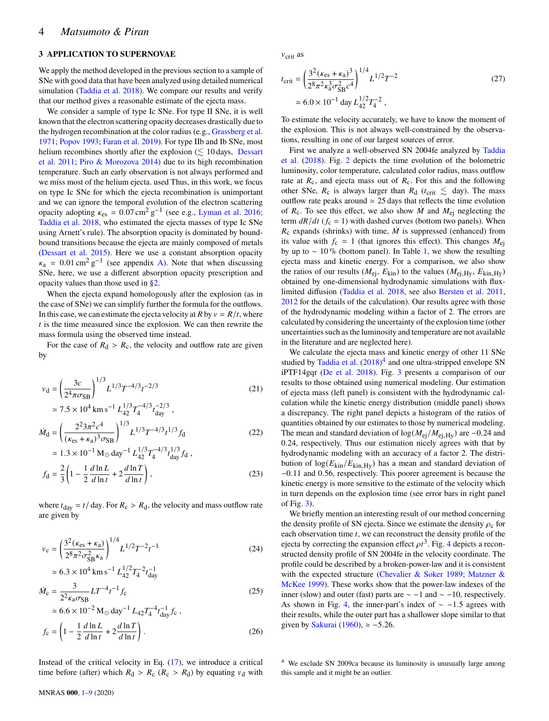## <span id="page-3-0"></span>**3 APPLICATION TO SUPERNOVAE**

We apply the method developed in the previous section to a sample of SNe with good data that have been analyzed using detailed numerical simulation [\(Taddia et al.](#page-8-51) [2018\)](#page-8-51). We compare our results and verify that our method gives a reasonable estimate of the ejecta mass.

We consider a sample of type Ic SNe. For type II SNe, it is well known that the electron scattering opacity decreases drastically due to the hydrogen recombination at the color radius (e.g., [Grassberg et al.](#page-8-52) [1971;](#page-8-52) [Popov](#page-8-53) [1993;](#page-8-53) [Faran et al.](#page-8-54) [2019\)](#page-8-54). For type IIb and Ib SNe, most helium recombines shortly after the explosion  $(\lesssim 10 \text{ days}, \text{ Dessart})$  $(\lesssim 10 \text{ days}, \text{ Dessart})$  $(\lesssim 10 \text{ days}, \text{ Dessart})$ [et al.](#page-8-55) [2011;](#page-8-55) [Piro & Morozova](#page-8-56) [2014\)](#page-8-56) due to its high recombination temperature. Such an early observation is not always performed and we miss most of the helium ejecta. used Thus, in this work, we focus on type Ic SNe for which the ejecta recombination is unimportant and we can ignore the temporal evolution of the electron scattering opacity adopting  $\kappa_{\text{es}} = 0.07 \text{ cm}^2 \text{ g}^{-1}$  (see e.g., [Lyman et al.](#page-8-57) [2016;](#page-8-57) [Taddia et al.](#page-8-51) [2018,](#page-8-51) who estimated the ejecta masses of type Ic SNe using Arnett's rule). The absorption opacity is dominated by boundbound transitions because the ejecta are mainly composed of metals [\(Dessart et al.](#page-8-58) [2015\)](#page-8-58). Here we use a constant absorption opacity  $\kappa_a = 0.01 \text{ cm}^2 \text{ g}^{-1}$  (see appendix [A\)](#page-7-1). Note that when discussing SNe, here, we use a different absorption opacity prescription and opacity values than those used in [§2.](#page-1-0)

When the ejecta expand homologously after the explosion (as in the case of SNe) we can simplify further the formula for the outflows. In this case, we can estimate the ejecta velocity at  $R$  by  $v = R/t$ , where  $t$  is the time measured since the explosion. We can then rewrite the mass formula using the observed time instead.

For the case of  $R_d > R_c$ , the velocity and outflow rate are given by

$$
v_{\rm d} = \left(\frac{3c}{2^4 \pi \sigma_{\rm SB}}\right)^{1/3} L^{1/3} T^{-4/3} t^{-2/3} \tag{21}
$$

$$
\approx 7.5 \times 10^4 \text{ km s}^{-1} L_{42}^{1/3} T_4^{-4/3} t_{day}^{-2/3},
$$
  

$$
\dot{M}_d = \left(\frac{2^2 3\pi^2 c^4}{(\kappa_{es} + \kappa_a)^3 \sigma_{SB}}\right)^{1/3} L^{1/3} T^{-4/3} t^{1/3} f_d
$$
(22)

$$
\approx 1.3 \times 10^{-1} \,\mathrm{M}_{\odot} \,\mathrm{day}^{-1} \,L_{42}^{1/3} T_{4}^{-4/3} t_{\mathrm{day}}^{1/3} f_{\mathrm{d}} \,,
$$

$$
f_{\mathrm{d}} = \frac{2}{3} \left( 1 - \frac{1}{2} \frac{d \ln L}{d \ln t} + 2 \frac{d \ln T}{d \ln t} \right), \tag{23}
$$

where  $t_{\text{day}} = t / \text{day}$ . For  $R_c > R_d$ , the velocity and mass outflow rate are given by

$$
v_{\rm c} = \left(\frac{3^2(\kappa_{\rm es} + \kappa_{\rm a})}{2^8 \pi^2 \sigma_{\rm SB}^2 \kappa_{\rm a}}\right)^{1/4} L^{1/2} T^{-2} t^{-1}
$$
\n
$$
\approx 6.3 \times 10^4 \,\rm km \,s^{-1} \,L_{42}^{1/2} T_4^{-2} t_{\rm day}^{-1}
$$
\n(24)

$$
\dot{M}_{\rm c} = \frac{3}{2^2 \kappa_{\rm a} \sigma_{\rm SB}} LT^{-4} t^{-1} f_{\rm c}
$$
\n(25)

$$
\approx 6.6 \times 10^{-2} \,\mathrm{M}_{\odot} \,\mathrm{day}^{-1} \, L_{42} T_{4}^{-4} t_{\mathrm{day}}^{-1} f_{c} \,,
$$

$$
f_{c} = \left(1 - \frac{1}{2} \frac{d \ln L}{d \ln t} + 2 \frac{d \ln T}{d \ln t}\right). \tag{26}
$$

Instead of the critical velocity in Eq.  $(17)$ , we introduce a critical time before (after) which  $R_d > R_c$  ( $R_c > R_d$ ) by equating  $v_d$  with  $v_{\text{crit}}$  as

$$
t_{\text{crit}} = \left(\frac{3^2(\kappa_{\text{es}} + \kappa_{\text{a}})^3}{2^8 \pi^2 \kappa_{\text{a}}^3 \sigma_{\text{SB}}^2 c^4}\right)^{1/4} L^{1/2} T^{-2}
$$
\n
$$
\approx 6.0 \times 10^{-1} \text{ day } L_{42}^{1/2} T_4^{-2} ,\qquad (27)
$$

To estimate the velocity accurately, we have to know the moment of the explosion. This is not always well-constrained by the observations, resulting in one of our largest sources of error.

First we analyze a well-observed SN 2004fe analyzed by [Taddia](#page-8-51) [et al.](#page-8-51) [\(2018\)](#page-8-51). Fig. [2](#page-4-1) depicts the time evolution of the bolometric luminosity, color temperature, calculated color radius, mass outflow rate at  $R_c$ , and ejecta mass out of  $R_c$ . For this and the following other SNe,  $R_c$  is always larger than  $R_d$  ( $t_{\text{crit}} \lesssim$  day). The mass outflow rate peaks around  $\simeq 25$  days that reflects the time evolution of  $R_c$ . To see this effect, we also show  $\dot{M}$  and  $M_{\rm ej}$  neglecting the term  $dR/dt$  ( $f_c = 1$ ) with dashed curves (bottom two panels). When  $R_c$  expands (shrinks) with time,  $\dot{M}$  is suppressed (enhanced) from its value with  $f_c = 1$  (that ignores this effect). This changes  $M_{ci}$ by up to ∼ 10 % (bottom panel). In Table [1,](#page-4-2) we show the resulting ejecta mass and kinetic energy. For a comparison, we also show the ratios of our results ( $M_{\text{ej}}$ ,  $E_{\text{kin}}$ ) to the values ( $M_{\text{ej,Hy}}$ ,  $E_{\text{kin,Hy}}$ ) obtained by one-dimensional hydrodynamic simulations with fluxlimited diffusion [\(Taddia et al.](#page-8-51) [2018,](#page-8-51) see also [Bersten et al.](#page-8-59) [2011,](#page-8-59) [2012](#page-8-60) for the details of the calculation). Our results agree with those of the hydrodynamic modeling within a factor of 2. The errors are calculated by considering the uncertainty of the explosion time (other uncertainties such as the luminosity and temperature are not available in the literature and are neglected here).

We calculate the ejecta mass and kinetic energy of other 11 SNe studied by [Taddia et al.](#page-8-51)  $(2018)^4$  $(2018)^4$  $(2018)^4$  and one ultra-stripped envelope SN iPTF14gqr [\(De et al.](#page-8-61) [2018\)](#page-8-61). Fig. [3](#page-5-1) presents a comparison of our results to those obtained using numerical modeling. Our estimation of ejecta mass (left panel) is consistent with the hydrodynamic calculation while the kinetic energy distribution (middle panel) shows a discrepancy. The right panel depicts a histogram of the ratios of quantities obtained by our estimates to those by numerical modeling. The mean and standard deviation of  $\log(M_{\text{ei}}/M_{\text{ei,Hy}})$  are -0.24 and 0.24, respectively. Thus our estimation nicely agrees with that by hydrodynamic modeling with an accuracy of a factor 2. The distribution of  $\log(E_{\text{kin}}/E_{\text{kin,Hv}})$  has a mean and standard deviation of −0.11 and 0.56, respectively. This poorer agreement is because the kinetic energy is more sensitive to the estimate of the velocity which in turn depends on the explosion time (see error bars in right panel of Fig. [3\)](#page-5-1).

We briefly mention an interesting result of our method concerning the density profile of SN ejecta. Since we estimate the density  $\rho_c$  for each observation time  $t$ , we can reconstruct the density profile of the ejecta by correcting the expansion effect  $\rho t^3$ . Fig. [4](#page-5-2) depicts a reconstructed density profile of SN 2004fe in the velocity coordinate. The profile could be described by a broken-power-law and it is consistent with the expected structure [\(Chevalier & Soker](#page-8-62) [1989;](#page-8-62) [Matzner &](#page-8-63) [McKee](#page-8-63) [1999\)](#page-8-63). These works show that the power-law indexes of the inner (slow) and outer (fast) parts are  $\sim$  −1 and  $\sim$  −10, respectively. As shown in Fig. [4,](#page-5-2) the inner-part's index of  $\sim -1.5$  agrees with their results, while the outer part has a shallower slope similar to that given by [Sakurai](#page-8-64) [\(1960\)](#page-8-64),  $\simeq -5.26$ .

<span id="page-3-1"></span><sup>4</sup> We exclude SN 2009ca because its luminosity is unusually large among this sample and it might be an outlier.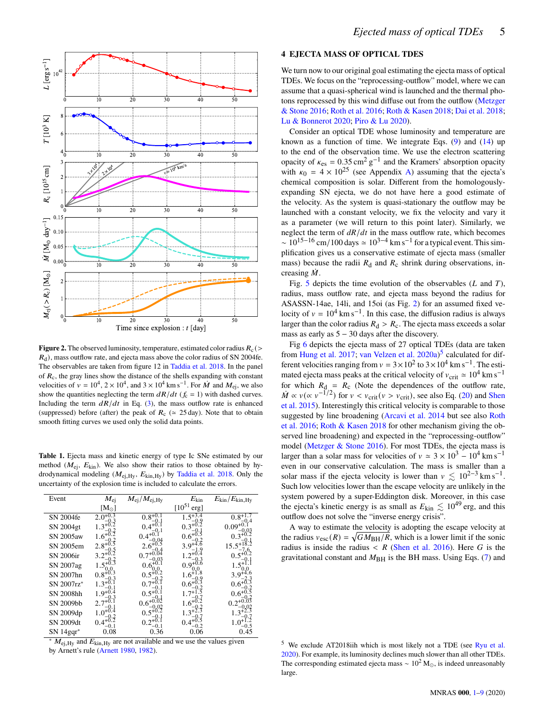

**Figure 2.** The observed luminosity, temperature, estimated color radius  $R_c$  (>  $R_d$ ), mass outflow rate, and ejecta mass above the color radius of SN 2004fe. The observables are taken from figure 12 in [Taddia et al.](#page-8-51) [2018.](#page-8-51) In the panel of  $R_c$ , the gray lines show the distance of the shells expanding with constant velocities of  $v = 10^4$ ,  $2 \times 10^4$ , and  $3 \times 10^4$  km s<sup>-1</sup>. For  $\dot{M}$  and  $M_{ej}$ , we also show the quantities neglecting the term  $dR/dt$  ( $f_c = 1$ ) with dashed curves. Including the term  $dR/dt$  in Eq. [\(3\)](#page-1-4), the mass outflow rate is enhanced (suppressed) before (after) the peak of  $R_c \approx 25 \text{ day}$ ). Note that to obtain smooth fitting curves we used only the solid data points.

<span id="page-4-2"></span>Table 1. Ejecta mass and kinetic energy of type Ic SNe estimated by our method ( $M_{\text{ej}}$ ,  $E_{\text{kin}}$ ). We also show their ratios to those obtained by hydrodynamical modeling  $(M_{ej,Hy}, E_{kin,Hy})$  by [Taddia et al.](#page-8-51) [2018.](#page-8-51) Only the uncertainty of the explosion time is included to calculate the errors.

| Event            | $M_{\rm ej}$      | $M_{\rm ej}/M_{\rm ej,Hy}$ | $E_{\rm kin}$       | $E_{\rm kin}/E_{\rm kin,Hy}$ |
|------------------|-------------------|----------------------------|---------------------|------------------------------|
|                  | $\rm [M_{\odot}]$ |                            | $[10^{51}]$<br>erg] |                              |
| SN 2004fe        | 2.0               | $0.8^{+0.1}$               |                     |                              |
| SN 2004gt        | $1.3^{+0}$        | $0.4^{+0}$                 | $0.3^{+0}$          | $0.09^{+0.1}$                |
| SN 2005aw        | $1.6^{+0}$        | $0.4^{+0}$                 | $0.6^{+0}$          | $0.3 + 0.2$                  |
| SN 2005em        | $2.8^{+0.5}$      |                            | $3.9+$              | 15.5                         |
| <b>SN 2006ir</b> |                   |                            |                     |                              |
| SN 2007ag        |                   |                            | $0.9^{+0}$          |                              |
| SN 2007hn        | $0.8^{+0.3}$      |                            | 1.6                 | 3.9                          |
| SN 2007rz*       | 3 <sup>1</sup>    |                            | $0.6^{\circ}$       | $0.6^*$                      |
| SN 2008hh        | $1.9^{+0.1}$      | $0.5^{+0}$                 | $17+$               | $0.6^{+0}$                   |
| SN 2009bb        | 2.7               | $0.6^{+0}$                 | $1.6^{+}$           |                              |
| SN 2009dp        |                   | $0.5^{+0}$                 | $-3+2$              |                              |
| SN 2009dt        | $0.4^{+}$<br>-0.1 |                            | 0.4                 | $-0.5$                       |
| SN 14gqr*        | 0.08              | 0.36                       | 0.06                | 0.45                         |

 $M_{\text{ei,Hy}}$  and  $E_{\text{kin,Hy}}$  are not available and we use the values given by Arnett's rule [\(Arnett](#page-8-65) [1980,](#page-8-65) [1982\)](#page-8-66).

## <span id="page-4-0"></span>**4 EJECTA MASS OF OPTICAL TDES**

We turn now to our original goal estimating the ejecta mass of optical TDEs. We focus on the "reprocessing-outflow" model, where we can assume that a quasi-spherical wind is launched and the thermal photons reprocessed by this wind diffuse out from the outflow [\(Metzger](#page-8-34) [& Stone](#page-8-34) [2016;](#page-8-34) [Roth et al.](#page-8-35) [2016;](#page-8-35) [Roth & Kasen](#page-8-36) [2018;](#page-8-36) [Dai et al.](#page-8-37) [2018;](#page-8-37) [Lu & Bonnerot](#page-8-38) [2020;](#page-8-38) [Piro & Lu](#page-8-39) [2020\)](#page-8-39).

Consider an optical TDE whose luminosity and temperature are known as a function of time. We integrate Eqs. [\(9\)](#page-2-4) and [\(14\)](#page-2-5) up to the end of the observation time. We use the electron scattering opacity of  $\kappa_{\text{es}} = 0.35 \text{ cm}^2 \text{ g}^{-1}$  and the Kramers' absorption opacity with  $\kappa_0 = 4 \times 10^{25}$  (see Appendix [A\)](#page-7-1) assuming that the ejecta's chemical composition is solar. Different from the homologouslyexpanding SN ejecta, we do not have here a good estimate of the velocity. As the system is quasi-stationary the outflow may be launched with a constant velocity, we fix the velocity and vary it as a parameter (we will return to this point later). Similarly, we neglect the term of  $dR/dt$  in the mass outflow rate, which becomes ~  $10^{15-16}$  cm/100 days  $\simeq 10^{3-4}$  km s<sup>-1</sup> for a typical event. This simplification gives us a conservative estimate of ejecta mass (smaller mass) because the radii  $R_d$  and  $R_c$  shrink during observations, increasing  $\dot{M}$ .

Fig. [5](#page-6-0) depicts the time evolution of the observables  $(L \text{ and } T)$ , radius, mass outflow rate, and ejecta mass beyond the radius for ASASSN-14ae, 14li, and 15oi (as Fig. [2\)](#page-4-1) for an assumed fixed velocity of  $v = 10^4$  km s<sup>-1</sup>. In this case, the diffusion radius is always larger than the color radius  $R_d > R_c$ . The ejecta mass exceeds a solar mass as early as  $5 - 30$  days after the discovery.

<span id="page-4-1"></span>Fig [6](#page-7-2) depicts the ejecta mass of 27 optical TDEs (data are taken from [Hung et al.](#page-8-22) [2017;](#page-8-22) [van Velzen et al.](#page-8-26) [2020a\)](#page-8-26)<sup>[5](#page-4-3)</sup> calculated for different velocities ranging from  $v = 3 \times 10^2$  to  $3 \times 10^4$  km s<sup>-1</sup>. The estimated ejecta mass peaks at the critical velocity of  $v_{\text{crit}} \approx 10^4 \text{ km s}^{-1}$ for which  $R_d = R_c$  (Note the dependences of the outflow rate,  $\dot{M} \propto v (\propto v^{-1/2})$  for  $v < v_{\text{crit}} (v > v_{\text{crit}})$ , see also Eq. [\(20\)](#page-2-8) and [Shen](#page-8-47) [et al.](#page-8-47) [2015\)](#page-8-47). Interestingly this critical velocity is comparable to those suggested by line broadening [\(Arcavi et al.](#page-7-0) [2014](#page-7-0) but see also [Roth](#page-8-35) [et al.](#page-8-35) [2016;](#page-8-35) [Roth & Kasen](#page-8-36) [2018](#page-8-36) for other mechanism giving the observed line broadening) and expected in the "reprocessing-outflow" model [\(Metzger & Stone](#page-8-34) [2016\)](#page-8-34). For most TDEs, the ejecta mass is larger than a solar mass for velocities of  $v \approx 3 \times 10^3 - 10^4$  km s<sup>-1</sup> even in our conservative calculation. The mass is smaller than a solar mass if the ejecta velocity is lower than  $v \lesssim 10^{2-3}$  km s<sup>-1</sup>. Such low velocities lower than the escape velocity are unlikely in the system powered by a super-Eddington disk. Moreover, in this case the ejecta's kinetic energy is as small as  $E_{\text{kin}} \lesssim 10^{49}$  erg, and this outflow does not solve the "inverse energy crisis".

A way to estimate the velocity is adopting the escape velocity at the radius  $v_{\text{esc}}(R) = \sqrt{GM_{\text{BH}}/R}$ , which is a lower limit if the sonic radius is inside the radius  $\langle R \rangle$  [\(Shen et al.](#page-8-67) [2016\)](#page-8-67). Here G is the gravitational constant and  $M_{\rm BH}$  is the BH mass. Using Eqs. [\(7\)](#page-2-2) and

<span id="page-4-3"></span><sup>5</sup> We exclude AT2018iih which is most likely not a TDE (see [Ryu et al.](#page-8-46) [2020\)](#page-8-46). For example, its luminosity declines much slower than all other TDEs. The corresponding estimated ejecta mass ~  $10^2$  M<sub>☉</sub>, is indeed unreasonably large.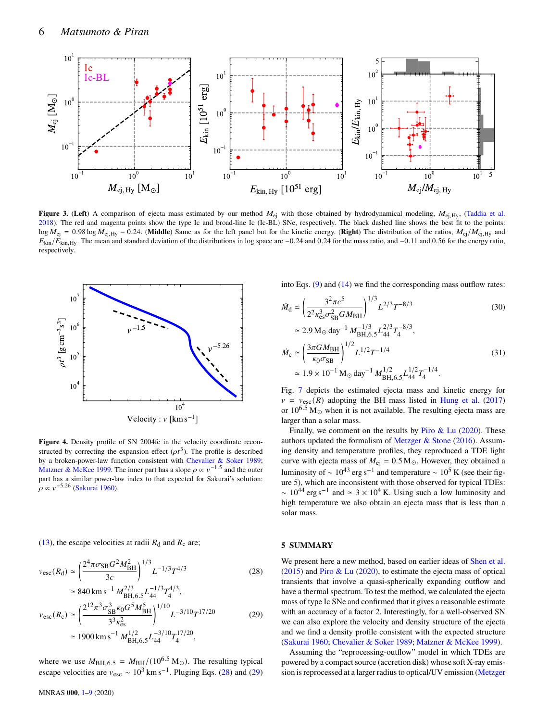

**Figure 3.** (Left) A comparison of ejecta mass estimated by our method  $M_{ei}$  with those obtained by hydrodynamical modeling,  $M_{ei,Hy}$ , [\(Taddia et al.](#page-8-51) [2018\)](#page-8-51). The red and magenta points show the type Ic and broad-line Ic (Ic-BL) SNe, respectively. The black dashed line shows the best fit to the points:  $\log M_{\text{ei}} = 0.98 \log M_{\text{ei,Hy}} - 0.24$ . (**Middle**) Same as for the left panel but for the kinetic energy. (**Right**) The distribution of the ratios,  $M_{\text{ei,Hy}}$  and  $E_{\text{kin}}/E_{\text{kin,Hy}}$ . The mean and standard deviation of the distributions in log space are −0.24 and 0.24 for the mass ratio, and −0.11 and 0.56 for the energy ratio, respectively.



**Figure 4.** Density profile of SN 2004fe in the velocity coordinate reconstructed by correcting the expansion effect  $(\rho t^3)$ . The profile is described by a broken-power-law function consistent with [Chevalier & Soker](#page-8-62) [1989;](#page-8-62) [Matzner & McKee](#page-8-63) [1999.](#page-8-63) The inner part has a slope  $\rho \propto v^{-1.5}$  and the outer part has a similar power-law index to that expected for Sakurai's solution:  $\rho \propto v^{-5.26}$  [\(Sakurai](#page-8-64) [1960\)](#page-8-64).

[\(13\)](#page-2-9), the escape velocities at radii  $R_d$  and  $R_c$  are;

$$
v_{\rm esc}(R_{\rm d}) \simeq \left(\frac{2^4 \pi \sigma_{\rm SB} G^2 M_{\rm BH}^2}{3c}\right)^{1/3} L^{-1/3} T^{4/3} \tag{28}
$$

$$
\approx 840 \text{ km s}^{-1} M_{\text{BH},6.5}^{2/3} L_{44}^{-1/3} T_4^{4/3},
$$
  
\n
$$
v_{\text{esc}}(R_{\text{c}}) \approx \left(\frac{2^{12} \pi^3 \sigma_{\text{SB}}^3 \kappa_0 G^5 M_{\text{BH}}^5}{3^3 \kappa_{\text{es}}^2}\right)^{1/10} L^{-3/10} T^{17/20}
$$
(29)  
\n
$$
\approx 1900 \text{ km s}^{-1} M_{\text{BH},6.5}^{1/2} L_{44}^{-3/10} T_4^{17/20},
$$

where we use  $M_{\text{BH},6.5} = M_{\text{BH}} / (10^{6.5} \text{ M}_{\odot})$ . The resulting typical escape velocities are  $v_{\text{esc}} \sim 10^3 \text{ km s}^{-1}$ . Pluging Eqs. [\(28\)](#page-5-3) and [\(29\)](#page-5-4)

MNRAS **000**, [1](#page-0-0)[–9](#page-8-0) (2020)

<span id="page-5-1"></span>into Eqs.  $(9)$  and  $(14)$  we find the corresponding mass outflow rates:

$$
\dot{M}_{\rm d} \simeq \left(\frac{3^2 \pi c^5}{2^2 \kappa_{\rm es}^3 \sigma_{\rm SB}^2 G M_{\rm BH}}\right)^{1/3} L^{2/3} T^{-8/3}
$$
\n
$$
\simeq 2.9 \,\mathrm{M}_{\odot} \,\mathrm{day}^{-1} \, M_{\rm BH,6.5}^{-1/3} L_{44}^{2/3} T_4^{-8/3},\tag{30}
$$

$$
\dot{M}_{\rm c} \simeq \left(\frac{3\pi G M_{\rm BH}}{\kappa_0 \sigma_{\rm SB}}\right)^{1/2} L^{1/2} T^{-1/4}
$$
\n
$$
\simeq 1.9 \times 10^{-1} \,\mathrm{M}_{\odot} \,\mathrm{day}^{-1} \, M_{\rm BH,6.5}^{1/2} L_{44}^{1/2} T_{4}^{-1/4}.
$$
\n(31)

Fig. [7](#page-7-3) depicts the estimated ejecta mass and kinetic energy for  $v = v_{\text{esc}}(R)$  adopting the BH mass listed in [Hung et al.](#page-8-22) [\(2017\)](#page-8-22) or  $10^{6.5}$  M<sub> $\odot$ </sub> when it is not available. The resulting ejecta mass are larger than a solar mass.

<span id="page-5-2"></span>Finally, we comment on the results by Piro  $\&$  Lu [\(2020\)](#page-8-39). These authors updated the formalism of Metzger  $&$  Stone [\(2016\)](#page-8-34). Assuming density and temperature profiles, they reproduced a TDE light curve with ejecta mass of  $M_{\text{ej}} = 0.5 \,\text{M}_{\odot}$ . However, they obtained a luminosity of ~  $10^{43}$  erg s<sup>-1</sup> and temperature ~  $10^5$  K (see their figure 5), which are inconsistent with those observed for typical TDEs:  $\sim 10^{44}$  erg s<sup>-1</sup> and  $\simeq 3 \times 10^4$  K. Using such a low luminosity and high temperature we also obtain an ejecta mass that is less than a solar mass.

#### <span id="page-5-0"></span>**5 SUMMARY**

<span id="page-5-3"></span>We present here a new method, based on earlier ideas of [Shen et al.](#page-8-47) [\(2015\)](#page-8-47) and [Piro & Lu](#page-8-39) [\(2020\)](#page-8-39), to estimate the ejecta mass of optical transients that involve a quasi-spherically expanding outflow and have a thermal spectrum. To test the method, we calculated the ejecta mass of type Ic SNe and confirmed that it gives a reasonable estimate with an accuracy of a factor 2. Interestingly, for a well-observed SN we can also explore the velocity and density structure of the ejecta and we find a density profile consistent with the expected structure [\(Sakurai](#page-8-64) [1960;](#page-8-64) [Chevalier & Soker](#page-8-62) [1989;](#page-8-62) [Matzner & McKee](#page-8-63) [1999\)](#page-8-63).

<span id="page-5-4"></span>Assuming the "reprocessing-outflow" model in which TDEs are powered by a compact source (accretion disk) whose soft X-ray emission is reprocessed at a larger radius to optical/UV emission [\(Metzger](#page-8-34)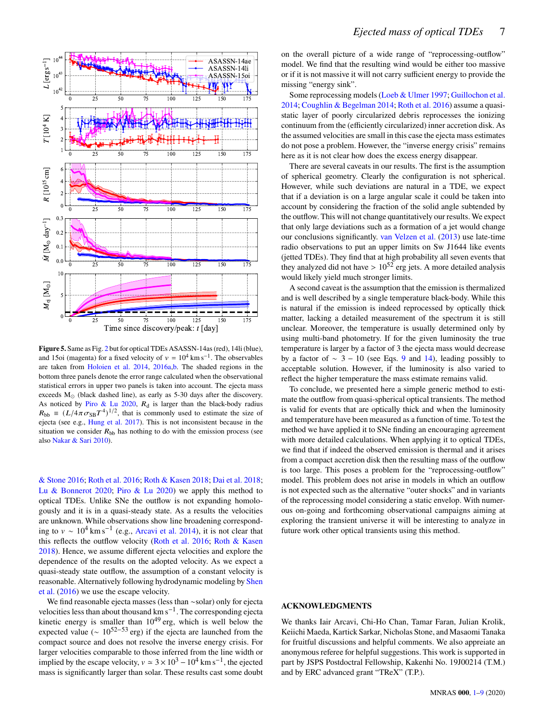

**Figure 5.** Same as Fig. [2](#page-4-1) but for optical TDEs ASASSN-14as (red), 14li (blue), and 15oi (magenta) for a fixed velocity of  $v = 10^4$  km s<sup>-1</sup>. The observables are taken from [Holoien et al.](#page-8-23) [2014,](#page-8-23) [2016a,](#page-8-24)[b.](#page-8-25) The shaded regions in the bottom three panels denote the error range calculated when the observational statistical errors in upper two panels is taken into account. The ejecta mass exceeds  $M_{\odot}$  (black dashed line), as early as 5-30 days after the discovery. As noticed by [Piro & Lu](#page-8-39) [2020,](#page-8-39)  $R_d$  is larger than the black-body radius  $R_{\rm bb} \equiv (L/4\pi \sigma_{\rm SB} T^4)^{1/2}$ , that is commonly used to estimate the size of ejecta (see e.g., [Hung et al.](#page-8-22) [2017\)](#page-8-22). This is not inconsistent because in the situation we consider  $R_{\rm bb}$  has nothing to do with the emission process (see also [Nakar & Sari](#page-8-49) [2010\)](#page-8-49).

[& Stone](#page-8-34) [2016;](#page-8-34) [Roth et al.](#page-8-35) [2016;](#page-8-35) [Roth & Kasen](#page-8-36) [2018;](#page-8-36) [Dai et al.](#page-8-37) [2018;](#page-8-37) [Lu & Bonnerot](#page-8-38) [2020;](#page-8-38) [Piro & Lu](#page-8-39) [2020\)](#page-8-39) we apply this method to optical TDEs. Unlike SNe the outflow is not expanding homologously and it is in a quasi-steady state. As a results the velocities are unknown. While observations show line broadening corresponding to  $v \sim 10^4$  km s<sup>-1</sup> (e.g., [Arcavi et al.](#page-7-0) [2014\)](#page-7-0), it is not clear that this reflects the outflow velocity [\(Roth et al.](#page-8-35) [2016;](#page-8-35) [Roth & Kasen](#page-8-36) [2018\)](#page-8-36). Hence, we assume different ejecta velocities and explore the dependence of the results on the adopted velocity. As we expect a quasi-steady state outflow, the assumption of a constant velocity is reasonable. Alternatively following hydrodynamic modeling by [Shen](#page-8-67) [et al.](#page-8-67) [\(2016\)](#page-8-67) we use the escape velocity.

We find reasonable ejecta masses (less than ∼solar) only for ejecta velocities less than about thousand km  $s^{-1}$ . The corresponding ejecta kinetic energy is smaller than  $10^{49}$  erg, which is well below the expected value ( $\sim 10^{52-53}$  erg) if the ejecta are launched from the compact source and does not resolve the inverse energy crisis. For larger velocities comparable to those inferred from the line width or implied by the escape velocity,  $v \approx 3 \times 10^3 - 10^4$  km s<sup>-1</sup>, the ejected mass is significantly larger than solar. These results cast some doubt

on the overall picture of a wide range of "reprocessing-outflow" model. We find that the resulting wind would be either too massive or if it is not massive it will not carry sufficient energy to provide the missing "energy sink".

Some reprocessing models [\(Loeb & Ulmer](#page-8-40) [1997;](#page-8-40) [Guillochon et al.](#page-8-68) [2014;](#page-8-68) [Coughlin & Begelman](#page-8-69) [2014;](#page-8-69) [Roth et al.](#page-8-35) [2016\)](#page-8-35) assume a quasistatic layer of poorly circularized debris reprocesses the ionizing continuum from the (efficiently circularized) inner accretion disk. As the assumed velocities are small in this case the ejecta mass estimates do not pose a problem. However, the "inverse energy crisis" remains here as it is not clear how does the excess energy disappear.

There are several caveats in our results. The first is the assumption of spherical geometry. Clearly the configuration is not spherical. However, while such deviations are natural in a TDE, we expect that if a deviation is on a large angular scale it could be taken into account by considering the fraction of the solid angle subtended by the outflow. This will not change quantitatively our results. We expect that only large deviations such as a formation of a jet would change our conclusions significantly. [van Velzen et al.](#page-8-70) [\(2013\)](#page-8-70) use late-time radio observations to put an upper limits on Sw J1644 like events (jetted TDEs). They find that at high probability all seven events that they analyzed did not have  $> 10^{52}$  erg jets. A more detailed analysis would likely yield much stronger limits.

<span id="page-6-0"></span>A second caveat is the assumption that the emission is thermalized and is well described by a single temperature black-body. While this is natural if the emission is indeed reprocessed by optically thick matter, lacking a detailed measurement of the spectrum it is still unclear. Moreover, the temperature is usually determined only by using multi-band photometry. If for the given luminosity the true temperature is larger by a factor of 3 the ejecta mass would decrease by a factor of  $~ > 3 - 10$  (see Eqs. [9](#page-2-4) and [14\)](#page-2-5), leading possibly to acceptable solution. However, if the luminosity is also varied to reflect the higher temperature the mass estimate remains valid.

To conclude, we presented here a simple generic method to estimate the outflow from quasi-spherical optical transients. The method is valid for events that are optically thick and when the luminosity and temperature have been measured as a function of time. To test the method we have applied it to SNe finding an encouraging agreement with more detailed calculations. When applying it to optical TDEs, we find that if indeed the observed emission is thermal and it arises from a compact accretion disk then the resulting mass of the outflow is too large. This poses a problem for the "reprocessing-outflow" model. This problem does not arise in models in which an outflow is not expected such as the alternative "outer shocks" and in variants of the reprocessing model considering a static envelop. With numerous on-going and forthcoming observational campaigns aiming at exploring the transient universe it will be interesting to analyze in future work other optical transients using this method.

## **ACKNOWLEDGMENTS**

We thanks Iair Arcavi, Chi-Ho Chan, Tamar Faran, Julian Krolik, Keiichi Maeda, Kartick Sarkar, Nicholas Stone, and Masaomi Tanaka for fruitful discussions and helpful comments. We also appreiate an anonymous referee for helpful suggestions. This work is supported in part by JSPS Postdoctral Fellowship, Kakenhi No. 19J00214 (T.M.) and by ERC advanced grant "TReX" (T.P.).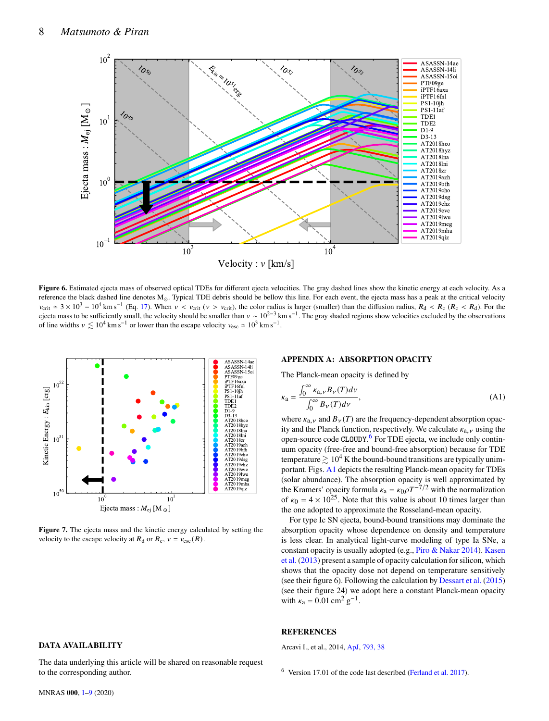

Figure 6. Estimated ejecta mass of observed optical TDEs for different ejecta velocities. The gray dashed lines show the kinetic energy at each velocity. As a reference the black dashed line denotes  $M_{\odot}$ . Typical TDE debris should be bellow this line. For each event, the ejecta mass has a peak at the critical velocity  $v_{\text{crit}} \approx 3 \times 10^3 - 10^4 \text{ km s}^{-1}$  (Eq. [17\)](#page-2-7). When  $v < v_{\text{crit}}$  ( $v > v_{\text{crit}}$ ), the color radius is larger (smaller) than the diffusion radius,  $R_d < R_c$  ( $R_c < R_d$ ). For the ejecta mass to be sufficiently small, the velocity should be smaller than  $v \sim 10^{2-3}$  km s<sup>-1</sup>. The gray shaded regions show velocities excluded by the observations of line widths  $v \lesssim 10^4 \text{ km s}^{-1}$  or lower than the escape velocity  $v_{\text{esc}} \approx 10^3 \text{ km s}^{-1}$ .



**Figure 7.** The ejecta mass and the kinetic energy calculated by setting the velocity to the escape velocity at  $R_d$  or  $R_c$ ,  $v = v_{\text{esc}}(R)$ .

#### **DATA AVAILABILITY**

The data underlying this article will be shared on reasonable request to the corresponding author.

#### <span id="page-7-2"></span><span id="page-7-1"></span>**APPENDIX A: ABSORPTION OPACITY**

The Planck-mean opacity is defined by

$$
\kappa_{\mathbf{a}} = \frac{\int_0^\infty \kappa_{\mathbf{a},\mathbf{v}} B_{\mathbf{v}}(T) d\mathbf{v}}{\int_0^\infty B_{\mathbf{v}}(T) d\mathbf{v}},\tag{A1}
$$

where  $\kappa_{a,\nu}$  and  $B_{\nu}(T)$  are the frequency-dependent absorption opacity and the Planck function, respectively. We calculate  $\kappa_{a}$ , using the open-source code CLOUDY.<sup>[6](#page-7-4)</sup> For TDE ejecta, we include only continuum opacity (free-free and bound-free absorption) because for TDE temperature  $\gtrsim 10^4$  K the bound-bound transitions are typically unimportant. Figs. [A1](#page-8-0) depicts the resulting Planck-mean opacity for TDEs (solar abundance). The absorption opacity is well approximated by the Kramers' opacity formula  $\kappa_a = \kappa_0 \rho T^{-7/2}$  with the normalization of  $\kappa_0 = 4 \times 10^{25}$ . Note that this value is about 10 times larger than the one adopted to approximate the Rosseland-mean opacity.

<span id="page-7-3"></span>For type Ic SN ejecta, bound-bound transitions may dominate the absorption opacity whose dependence on density and temperature is less clear. In analytical light-curve modeling of type Ia SNe, a constant opacity is usually adopted (e.g., [Piro & Nakar](#page-8-71) [2014\)](#page-8-71). [Kasen](#page-8-72) [et al.](#page-8-72) [\(2013\)](#page-8-72) present a sample of opacity calculation for silicon, which shows that the opacity dose not depend on temperature sensitively (see their figure 6). Following the calculation by [Dessart et al.](#page-8-58) [\(2015\)](#page-8-58) (see their figure 24) we adopt here a constant Planck-mean opacity with  $\kappa_a = 0.01 \text{ cm}^2 \text{ g}^{-1}$ .

#### **REFERENCES**

<span id="page-7-0"></span>Arcavi I., et al., 2014, [ApJ,](http://dx.doi.org/10.1088/0004-637X/793/1/38) [793, 38](https://ui.adsabs.harvard.edu/abs/2014ApJ...793...38A)

<span id="page-7-4"></span> $6$  Version 17.01 of the code last described [\(Ferland et al.](#page-8-73) [2017\)](#page-8-73).